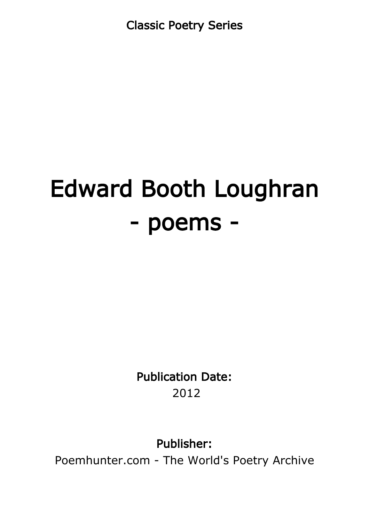Classic Poetry Series

# Edward Booth Loughran - poems -

Publication Date: 2012

Publisher:

Poemhunter.com - The World's Poetry Archive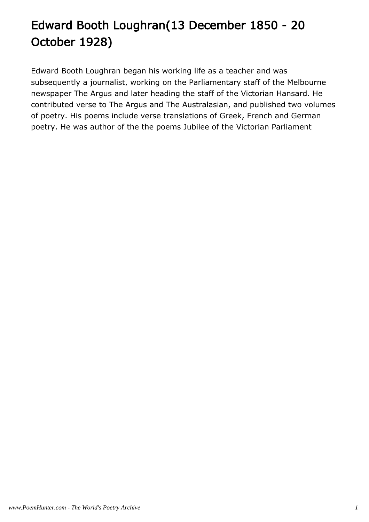# Edward Booth Loughran(13 December 1850 - 20 October 1928)

Edward Booth Loughran began his working life as a teacher and was subsequently a journalist, working on the Parliamentary staff of the Melbourne newspaper The Argus and later heading the staff of the Victorian Hansard. He contributed verse to The Argus and The Australasian, and published two volumes of poetry. His poems include verse translations of Greek, French and German poetry. He was author of the the poems Jubilee of the Victorian Parliament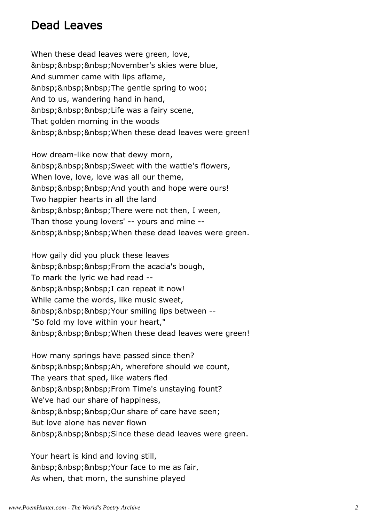#### Dead Leaves

When these dead leaves were green, love, November's skies were blue, And summer came with lips aflame, The gentle spring to woo; And to us, wandering hand in hand, Life was a fairy scene, That golden morning in the woods When these dead leaves were green!

How dream-like now that dewy morn, Sweet with the wattle's flowers, When love, love, love was all our theme, And youth and hope were ours! Two happier hearts in all the land There were not then, I ween, Than those young lovers' -- yours and mine -- When these dead leaves were green.

How gaily did you pluck these leaves From the acacia's bough, To mark the lyric we had read -- I can repeat it now! While came the words, like music sweet, Your smiling lips between --"So fold my love within your heart," When these dead leaves were green!

How many springs have passed since then? Ah, wherefore should we count, The years that sped, like waters fled From Time's unstaying fount? We've had our share of happiness, Our share of care have seen; But love alone has never flown Since these dead leaves were green.

Your heart is kind and loving still, Your face to me as fair, As when, that morn, the sunshine played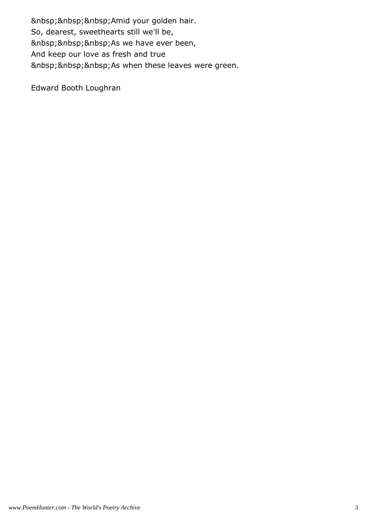Amid your golden hair. So, dearest, sweethearts still we'll be, As we have ever been, And keep our love as fresh and true As when these leaves were green.

Edward Booth Loughran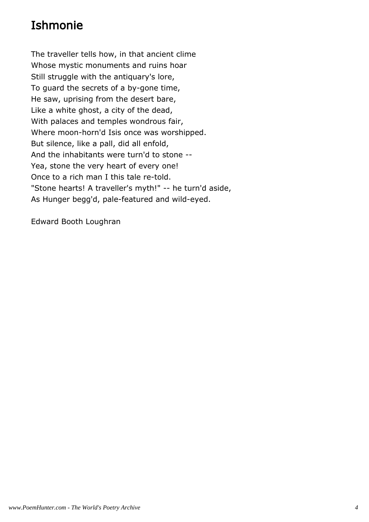## Ishmonie

The traveller tells how, in that ancient clime Whose mystic monuments and ruins hoar Still struggle with the antiquary's lore, To guard the secrets of a by-gone time, He saw, uprising from the desert bare, Like a white ghost, a city of the dead, With palaces and temples wondrous fair, Where moon-horn'd Isis once was worshipped. But silence, like a pall, did all enfold, And the inhabitants were turn'd to stone -- Yea, stone the very heart of every one! Once to a rich man I this tale re-told. "Stone hearts! A traveller's myth!" -- he turn'd aside, As Hunger begg'd, pale-featured and wild-eyed.

Edward Booth Loughran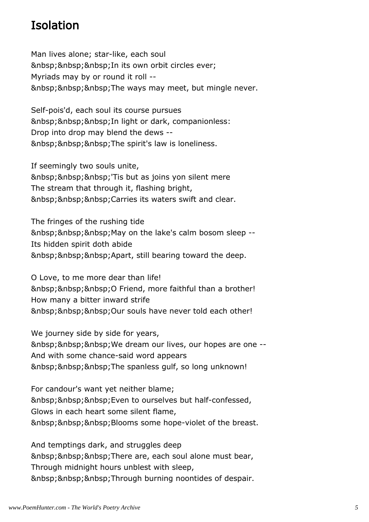### Isolation

Man lives alone; star-like, each soul In its own orbit circles ever; Myriads may by or round it roll -- The ways may meet, but mingle never.

Self-pois'd, each soul its course pursues In light or dark, companionless: Drop into drop may blend the dews -- The spirit's law is loneliness.

If seemingly two souls unite, 'Tis but as joins yon silent mere The stream that through it, flashing bright, Carries its waters swift and clear.

The fringes of the rushing tide May on the lake's calm bosom sleep --Its hidden spirit doth abide Apart, still bearing toward the deep.

O Love, to me more dear than life! O Friend, more faithful than a brother! How many a bitter inward strife Our souls have never told each other!

We journey side by side for years, We dream our lives, our hopes are one --And with some chance-said word appears The spanless gulf, so long unknown!

For candour's want yet neither blame; Even to ourselves but half-confessed, Glows in each heart some silent flame, Blooms some hope-violet of the breast.

And temptings dark, and struggles deep There are, each soul alone must bear, Through midnight hours unblest with sleep, Through burning noontides of despair.